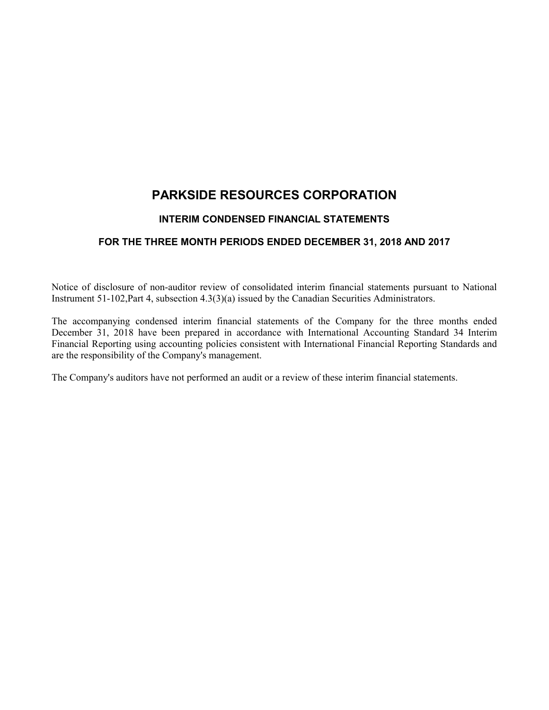# **PARKSIDE RESOURCES CORPORATION**

## **INTERIM CONDENSED FINANCIAL STATEMENTS**

## **FOR THE THREE MONTH PERIODS ENDED DECEMBER 31, 2018 AND 2017**

Notice of disclosure of non-auditor review of consolidated interim financial statements pursuant to National Instrument 51-102,Part 4, subsection 4.3(3)(a) issued by the Canadian Securities Administrators.

The accompanying condensed interim financial statements of the Company for the three months ended December 31, 2018 have been prepared in accordance with International Accounting Standard 34 Interim Financial Reporting using accounting policies consistent with International Financial Reporting Standards and are the responsibility of the Company's management.

The Company's auditors have not performed an audit or a review of these interim financial statements.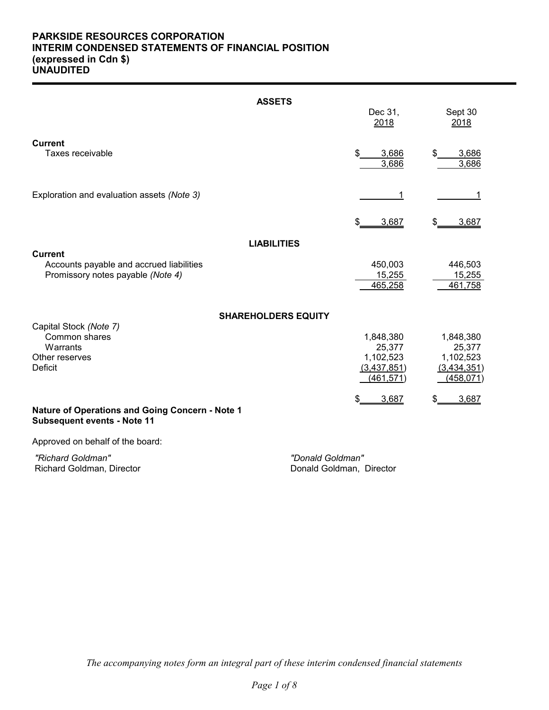## **PARKSIDE RESOURCES CORPORATION INTERIM CONDENSED STATEMENTS OF FINANCIAL POSITION (expressed in Cdn \$) UNAUDITED**

|                                                                                                 | <b>ASSETS</b>              | Dec 31,<br>2018                                               | Sept 30<br>2018                                               |
|-------------------------------------------------------------------------------------------------|----------------------------|---------------------------------------------------------------|---------------------------------------------------------------|
| <b>Current</b><br>Taxes receivable                                                              |                            | 3,686<br>3,686                                                | 3,686<br>3,686                                                |
| Exploration and evaluation assets (Note 3)                                                      |                            |                                                               | 1                                                             |
|                                                                                                 |                            | 3,687                                                         | 3,687                                                         |
|                                                                                                 | <b>LIABILITIES</b>         |                                                               |                                                               |
| <b>Current</b><br>Accounts payable and accrued liabilities<br>Promissory notes payable (Note 4) |                            | 450,003<br>15,255<br>465,258                                  | 446,503<br>15,255<br>461,758                                  |
|                                                                                                 | <b>SHAREHOLDERS EQUITY</b> |                                                               |                                                               |
| Capital Stock (Note 7)<br>Common shares<br>Warrants<br>Other reserves<br>Deficit                |                            | 1,848,380<br>25,377<br>1,102,523<br>(3,437,851)<br>(461, 571) | 1,848,380<br>25,377<br>1,102,523<br>(3,434,351)<br>(458, 071) |
| <b>Nature of Operations and Going Concern - Note 1</b><br><b>Subsequent events - Note 11</b>    |                            | 3,687                                                         | 3,687                                                         |

Approved on behalf of the board:

 *"Richard Goldman" "Donald Goldman"* Richard Goldman, Director

*The accompanying notes form an integral part of these interim condensed financial statements*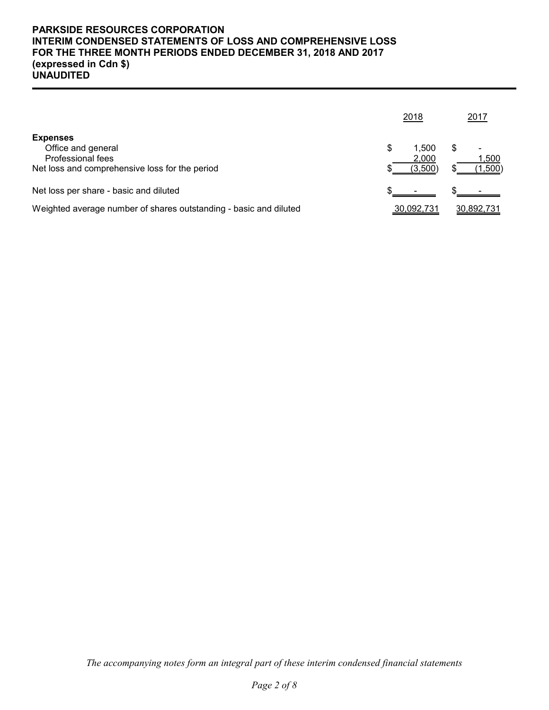## **PARKSIDE RESOURCES CORPORATION INTERIM CONDENSED STATEMENTS OF LOSS AND COMPREHENSIVE LOSS FOR THE THREE MONTH PERIODS ENDED DECEMBER 31, 2018 AND 2017 (expressed in Cdn \$) UNAUDITED**

|                                                                                                              |  | 2018                      |                                | 2017       |
|--------------------------------------------------------------------------------------------------------------|--|---------------------------|--------------------------------|------------|
| <b>Expenses</b><br>Office and general<br>Professional fees<br>Net loss and comprehensive loss for the period |  | 1.500<br>2,000<br>(3,500) | 1,500<br>$\left( 1,500\right)$ |            |
| Net loss per share - basic and diluted                                                                       |  |                           |                                |            |
| Weighted average number of shares outstanding - basic and diluted                                            |  | 30,092,731                |                                | 30,892,731 |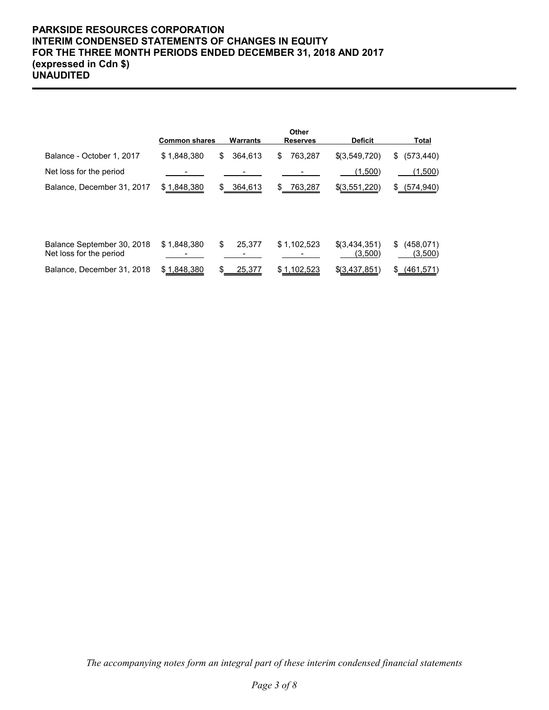## **PARKSIDE RESOURCES CORPORATION INTERIM CONDENSED STATEMENTS OF CHANGES IN EQUITY FOR THE THREE MONTH PERIODS ENDED DECEMBER 31, 2018 AND 2017 (expressed in Cdn \$) UNAUDITED**

|                                                       | <b>Common shares</b> | Warrants       | Other<br><b>Reserves</b> | <b>Deficit</b>             | Total                       |
|-------------------------------------------------------|----------------------|----------------|--------------------------|----------------------------|-----------------------------|
| Balance - October 1, 2017                             | \$1,848,380          | 364,613<br>S   | 763.287<br>\$            | \$(3,549,720)              | (573, 440)<br>\$            |
| Net loss for the period                               |                      |                |                          | (1,500)                    | (1,500)                     |
| Balance, December 31, 2017                            | \$1,848,380          | 364,613<br>SS. | \$<br>763,287            | \$(3,551,220)              | \$ (574, 940)               |
|                                                       |                      |                |                          |                            |                             |
|                                                       |                      |                |                          |                            |                             |
| Balance September 30, 2018<br>Net loss for the period | \$1,848,380          | \$<br>25.377   | \$1,102,523              | $$$ (3,434,351)<br>(3,500) | \$<br>(458, 071)<br>(3,500) |
| Balance, December 31, 2018                            | \$1,848,380          | 25,377         | \$1,102,523              | \$(3,437,851)              | (461, 571)<br>\$            |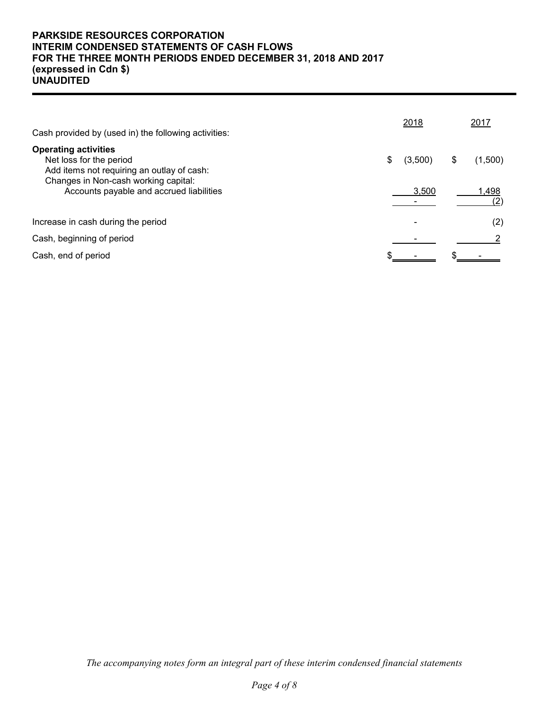## **PARKSIDE RESOURCES CORPORATION INTERIM CONDENSED STATEMENTS OF CASH FLOWS FOR THE THREE MONTH PERIODS ENDED DECEMBER 31, 2018 AND 2017 (expressed in Cdn \$) UNAUDITED**

| Cash provided by (used in) the following activities:                                                                                         | 2018          | 2017          |
|----------------------------------------------------------------------------------------------------------------------------------------------|---------------|---------------|
| <b>Operating activities</b><br>Net loss for the period<br>Add items not requiring an outlay of cash:<br>Changes in Non-cash working capital: | \$<br>(3,500) | \$<br>(1,500) |
| Accounts payable and accrued liabilities                                                                                                     | 3.500         | 1,498         |
| Increase in cash during the period                                                                                                           |               | (2)           |
| Cash, beginning of period                                                                                                                    |               |               |
| Cash, end of period                                                                                                                          |               |               |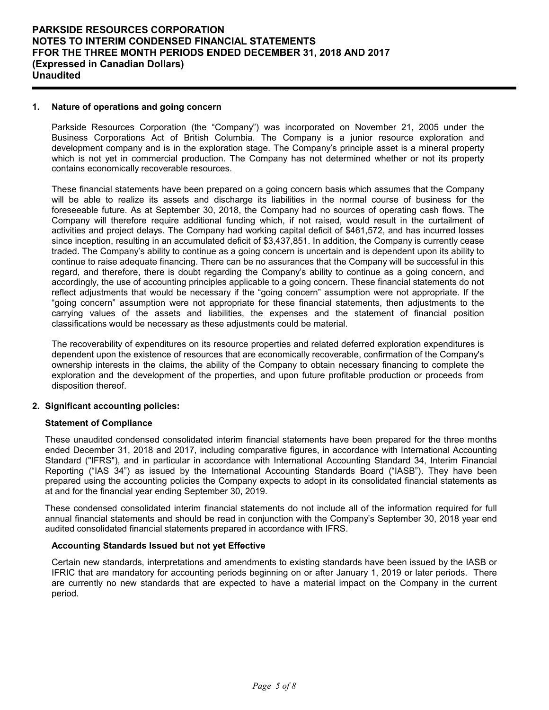## **1. Nature of operations and going concern**

Parkside Resources Corporation (the "Company") was incorporated on November 21, 2005 under the Business Corporations Act of British Columbia. The Company is a junior resource exploration and development company and is in the exploration stage. The Company's principle asset is a mineral property which is not yet in commercial production. The Company has not determined whether or not its property contains economically recoverable resources.

These financial statements have been prepared on a going concern basis which assumes that the Company will be able to realize its assets and discharge its liabilities in the normal course of business for the foreseeable future. As at September 30, 2018, the Company had no sources of operating cash flows. The Company will therefore require additional funding which, if not raised, would result in the curtailment of activities and project delays. The Company had working capital deficit of \$461,572, and has incurred losses since inception, resulting in an accumulated deficit of \$3,437,851. In addition, the Company is currently cease traded. The Company's ability to continue as a going concern is uncertain and is dependent upon its ability to continue to raise adequate financing. There can be no assurances that the Company will be successful in this regard, and therefore, there is doubt regarding the Company's ability to continue as a going concern, and accordingly, the use of accounting principles applicable to a going concern. These financial statements do not reflect adjustments that would be necessary if the "going concern" assumption were not appropriate. If the "going concern" assumption were not appropriate for these financial statements, then adjustments to the carrying values of the assets and liabilities, the expenses and the statement of financial position classifications would be necessary as these adjustments could be material.

The recoverability of expenditures on its resource properties and related deferred exploration expenditures is dependent upon the existence of resources that are economically recoverable, confirmation of the Company's ownership interests in the claims, the ability of the Company to obtain necessary financing to complete the exploration and the development of the properties, and upon future profitable production or proceeds from disposition thereof.

## **2. Significant accounting policies:**

#### **Statement of Compliance**

These unaudited condensed consolidated interim financial statements have been prepared for the three months ended December 31, 2018 and 2017, including comparative figures, in accordance with International Accounting Standard ("IFRS"), and in particular in accordance with International Accounting Standard 34, Interim Financial Reporting ("IAS 34") as issued by the International Accounting Standards Board ("IASB"). They have been prepared using the accounting policies the Company expects to adopt in its consolidated financial statements as at and for the financial year ending September 30, 2019.

These condensed consolidated interim financial statements do not include all of the information required for full annual financial statements and should be read in conjunction with the Company's September 30, 2018 year end audited consolidated financial statements prepared in accordance with IFRS.

## **Accounting Standards Issued but not yet Effective**

Certain new standards, interpretations and amendments to existing standards have been issued by the IASB or IFRIC that are mandatory for accounting periods beginning on or after January 1, 2019 or later periods. There are currently no new standards that are expected to have a material impact on the Company in the current period.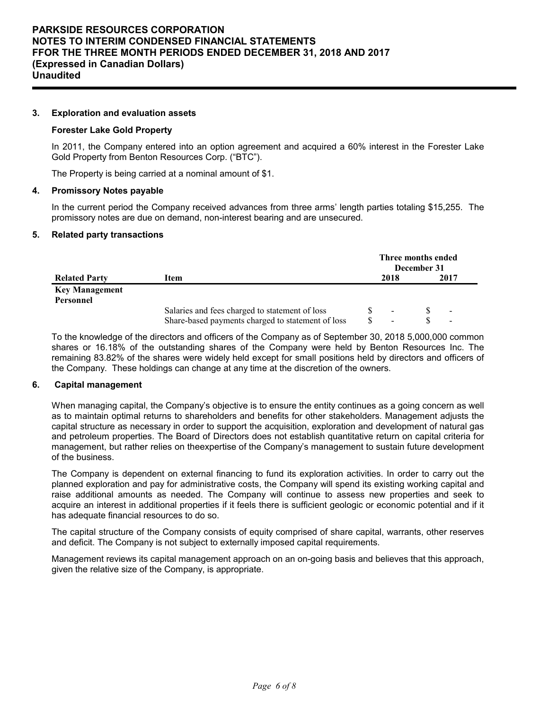### **3. Exploration and evaluation assets**

#### **Forester Lake Gold Property**

In 2011, the Company entered into an option agreement and acquired a 60% interest in the Forester Lake Gold Property from Benton Resources Corp. ("BTC").

The Property is being carried at a nominal amount of \$1.

#### **4. Promissory Notes payable**

In the current period the Company received advances from three arms' length parties totaling \$15,255. The promissory notes are due on demand, non-interest bearing and are unsecured.

#### **5. Related party transactions**

|                                    |                                                   | Three months ended<br>December 31 |      |  |                          |  |
|------------------------------------|---------------------------------------------------|-----------------------------------|------|--|--------------------------|--|
| <b>Related Party</b>               | Item                                              |                                   | 2018 |  | 2017                     |  |
| <b>Key Management</b><br>Personnel |                                                   |                                   |      |  |                          |  |
|                                    | Salaries and fees charged to statement of loss    |                                   |      |  | $\overline{\phantom{a}}$ |  |
|                                    | Share-based payments charged to statement of loss |                                   |      |  |                          |  |

To the knowledge of the directors and officers of the Company as of September 30, 2018 5,000,000 common shares or 16.18% of the outstanding shares of the Company were held by Benton Resources Inc. The remaining 83.82% of the shares were widely held except for small positions held by directors and officers of the Company. These holdings can change at any time at the discretion of the owners.

## **6. Capital management**

When managing capital, the Company's objective is to ensure the entity continues as a going concern as well as to maintain optimal returns to shareholders and benefits for other stakeholders. Management adjusts the capital structure as necessary in order to support the acquisition, exploration and development of natural gas and petroleum properties. The Board of Directors does not establish quantitative return on capital criteria for management, but rather relies on theexpertise of the Company's management to sustain future development of the business.

The Company is dependent on external financing to fund its exploration activities. In order to carry out the planned exploration and pay for administrative costs, the Company will spend its existing working capital and raise additional amounts as needed. The Company will continue to assess new properties and seek to acquire an interest in additional properties if it feels there is sufficient geologic or economic potential and if it has adequate financial resources to do so.

The capital structure of the Company consists of equity comprised of share capital, warrants, other reserves and deficit. The Company is not subject to externally imposed capital requirements.

Management reviews its capital management approach on an on-going basis and believes that this approach, given the relative size of the Company, is appropriate.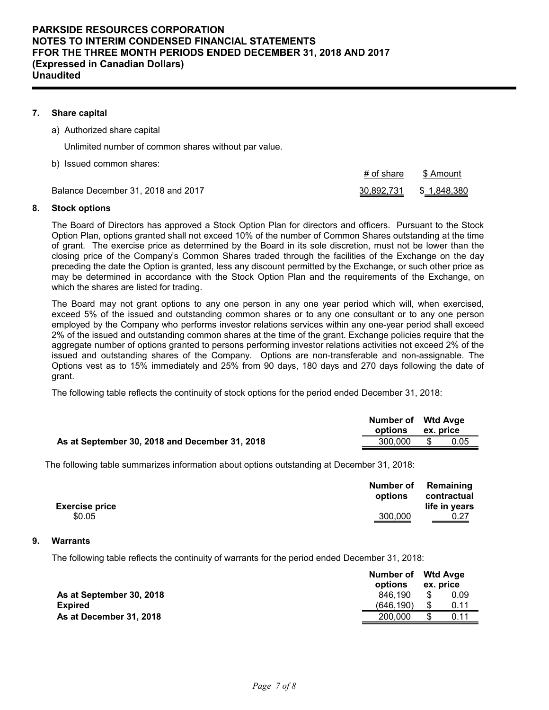## **7. Share capital**

a) Authorized share capital

Unlimited number of common shares without par value.

b) Issued common shares:

Balance December 31, 2018 and 2017 30,892,731 \$ 1,848,380

#### **8. Stock options**

The Board of Directors has approved a Stock Option Plan for directors and officers. Pursuant to the Stock Option Plan, options granted shall not exceed 10% of the number of Common Shares outstanding at the time of grant. The exercise price as determined by the Board in its sole discretion, must not be lower than the closing price of the Company's Common Shares traded through the facilities of the Exchange on the day preceding the date the Option is granted, less any discount permitted by the Exchange, or such other price as may be determined in accordance with the Stock Option Plan and the requirements of the Exchange, on which the shares are listed for trading.

# of share \$ Amount

The Board may not grant options to any one person in any one year period which will, when exercised, exceed 5% of the issued and outstanding common shares or to any one consultant or to any one person employed by the Company who performs investor relations services within any one-year period shall exceed 2% of the issued and outstanding common shares at the time of the grant. Exchange policies require that the aggregate number of options granted to persons performing investor relations activities not exceed 2% of the issued and outstanding shares of the Company. Options are non-transferable and non-assignable. The Options vest as to 15% immediately and 25% from 90 days, 180 days and 270 days following the date of grant.

The following table reflects the continuity of stock options for the period ended December 31, 2018:

|                                                | Number of Wtd Avge<br>options | ex. price |      |
|------------------------------------------------|-------------------------------|-----------|------|
| As at September 30, 2018 and December 31, 2018 | 300,000                       | - \$      | 0.05 |

The following table summarizes information about options outstanding at December 31, 2018:

| <b>Exercise price</b> | options        | Number of Remaining<br>contractual<br>life in years |
|-----------------------|----------------|-----------------------------------------------------|
| \$0.05                | <u>300,000</u> | $rac{0.27}{0.27}$                                   |

## **9. Warrants**

The following table reflects the continuity of warrants for the period ended December 31, 2018:

|                          | Number of Wtd Avge<br>options<br>ex. price |    |      |
|--------------------------|--------------------------------------------|----|------|
| As at September 30, 2018 | 846.190                                    | \$ | 0.09 |
| <b>Expired</b>           | (646, 190)                                 | \$ | 0.11 |
| As at December 31, 2018  | 200.000                                    |    | 0.11 |